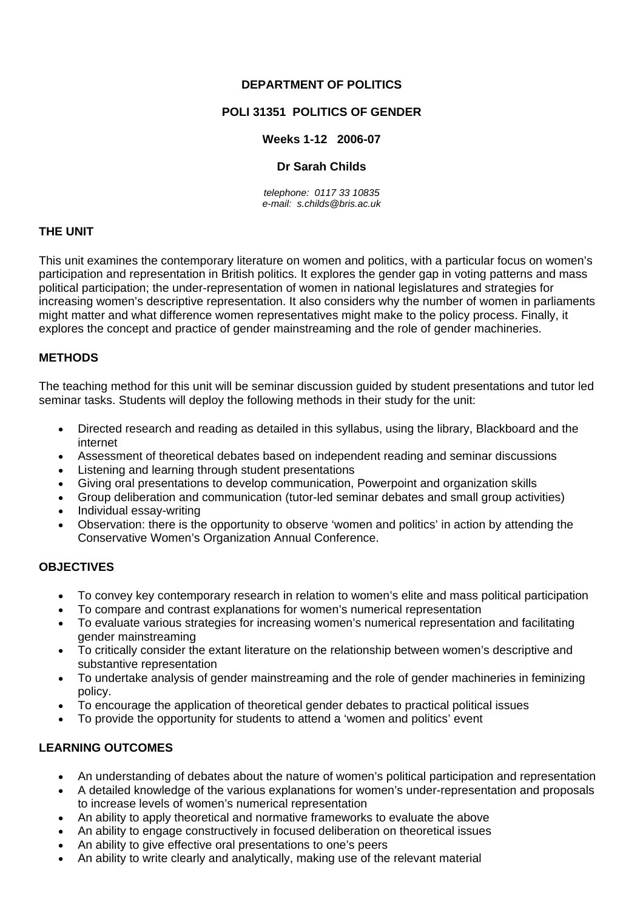#### **DEPARTMENT OF POLITICS**

### **POLI 31351 POLITICS OF GENDER**

### **Weeks 1-12 2006-07**

#### **Dr Sarah Childs**

*telephone: 0117 33 10835 e-mail: s.childs@bris.ac.uk* 

### **THE UNIT**

This unit examines the contemporary literature on women and politics, with a particular focus on women's participation and representation in British politics. It explores the gender gap in voting patterns and mass political participation; the under-representation of women in national legislatures and strategies for increasing women's descriptive representation. It also considers why the number of women in parliaments might matter and what difference women representatives might make to the policy process. Finally, it explores the concept and practice of gender mainstreaming and the role of gender machineries.

#### **METHODS**

The teaching method for this unit will be seminar discussion guided by student presentations and tutor led seminar tasks. Students will deploy the following methods in their study for the unit:

- Directed research and reading as detailed in this syllabus, using the library, Blackboard and the internet
- Assessment of theoretical debates based on independent reading and seminar discussions
- Listening and learning through student presentations
- Giving oral presentations to develop communication, Powerpoint and organization skills
- Group deliberation and communication (tutor-led seminar debates and small group activities)
- Individual essay-writing
- Observation: there is the opportunity to observe 'women and politics' in action by attending the Conservative Women's Organization Annual Conference.

### **OBJECTIVES**

- To convey key contemporary research in relation to women's elite and mass political participation
- To compare and contrast explanations for women's numerical representation
- To evaluate various strategies for increasing women's numerical representation and facilitating gender mainstreaming
- To critically consider the extant literature on the relationship between women's descriptive and substantive representation
- To undertake analysis of gender mainstreaming and the role of gender machineries in feminizing policy.
- To encourage the application of theoretical gender debates to practical political issues
- To provide the opportunity for students to attend a 'women and politics' event

# **LEARNING OUTCOMES**

- An understanding of debates about the nature of women's political participation and representation
- A detailed knowledge of the various explanations for women's under-representation and proposals to increase levels of women's numerical representation
- An ability to apply theoretical and normative frameworks to evaluate the above
- An ability to engage constructively in focused deliberation on theoretical issues
- An ability to give effective oral presentations to one's peers
- An ability to write clearly and analytically, making use of the relevant material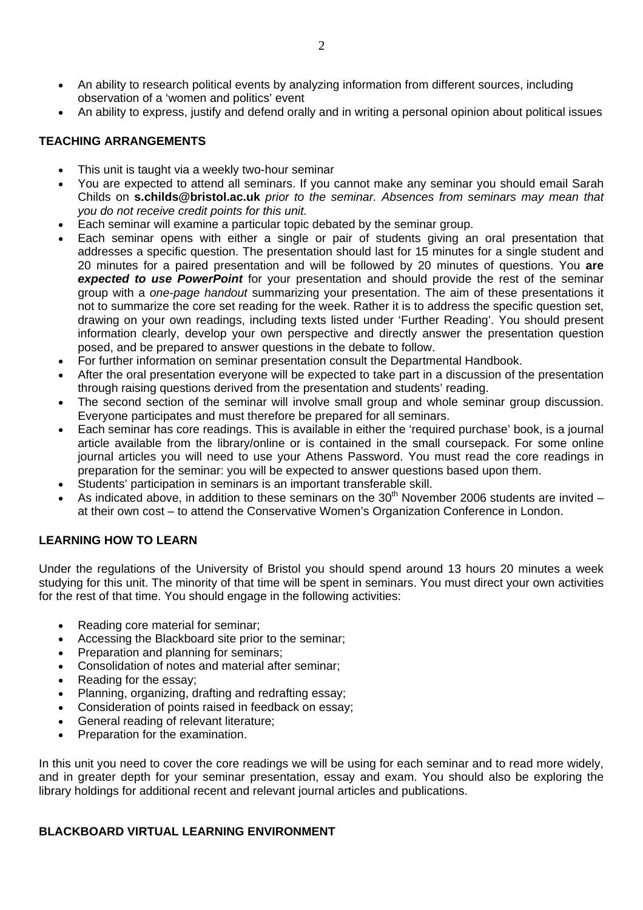- An ability to research political events by analyzing information from different sources, including observation of a 'women and politics' event
- An ability to express, justify and defend orally and in writing a personal opinion about political issues

#### **TEACHING ARRANGEMENTS**

- This unit is taught via a weekly two-hour seminar
- You are expected to attend all seminars. If you cannot make any seminar you should email Sarah Childs on **s.childs@bristol.ac.uk** *prior to the seminar. Absences from seminars may mean that you do not receive credit points for this unit.*
- Each seminar will examine a particular topic debated by the seminar group.
- Each seminar opens with either a single or pair of students giving an oral presentation that addresses a specific question. The presentation should last for 15 minutes for a single student and 20 minutes for a paired presentation and will be followed by 20 minutes of questions. You **are**  *expected to use PowerPoint* for your presentation and should provide the rest of the seminar group with a *one-page handout* summarizing your presentation. The aim of these presentations it not to summarize the core set reading for the week. Rather it is to address the specific question set, drawing on your own readings, including texts listed under 'Further Reading'. You should present information clearly, develop your own perspective and directly answer the presentation question posed, and be prepared to answer questions in the debate to follow.
- For further information on seminar presentation consult the Departmental Handbook.
- After the oral presentation everyone will be expected to take part in a discussion of the presentation through raising questions derived from the presentation and students' reading.
- The second section of the seminar will involve small group and whole seminar group discussion. Everyone participates and must therefore be prepared for all seminars.
- Each seminar has core readings. This is available in either the 'required purchase' book, is a journal article available from the library/online or is contained in the small coursepack. For some online journal articles you will need to use your Athens Password. You must read the core readings in preparation for the seminar: you will be expected to answer questions based upon them.
- Students' participation in seminars is an important transferable skill.
- As indicated above, in addition to these seminars on the 30<sup>th</sup> November 2006 students are invited at their own cost – to attend the Conservative Women's Organization Conference in London.

### **LEARNING HOW TO LEARN**

Under the regulations of the University of Bristol you should spend around 13 hours 20 minutes a week studying for this unit. The minority of that time will be spent in seminars. You must direct your own activities for the rest of that time. You should engage in the following activities:

- Reading core material for seminar;
- Accessing the Blackboard site prior to the seminar;
- Preparation and planning for seminars;
- Consolidation of notes and material after seminar;
- Reading for the essay;
- Planning, organizing, drafting and redrafting essay;
- Consideration of points raised in feedback on essay;
- General reading of relevant literature;
- Preparation for the examination.

In this unit you need to cover the core readings we will be using for each seminar and to read more widely, and in greater depth for your seminar presentation, essay and exam. You should also be exploring the library holdings for additional recent and relevant journal articles and publications.

### **BLACKBOARD VIRTUAL LEARNING ENVIRONMENT**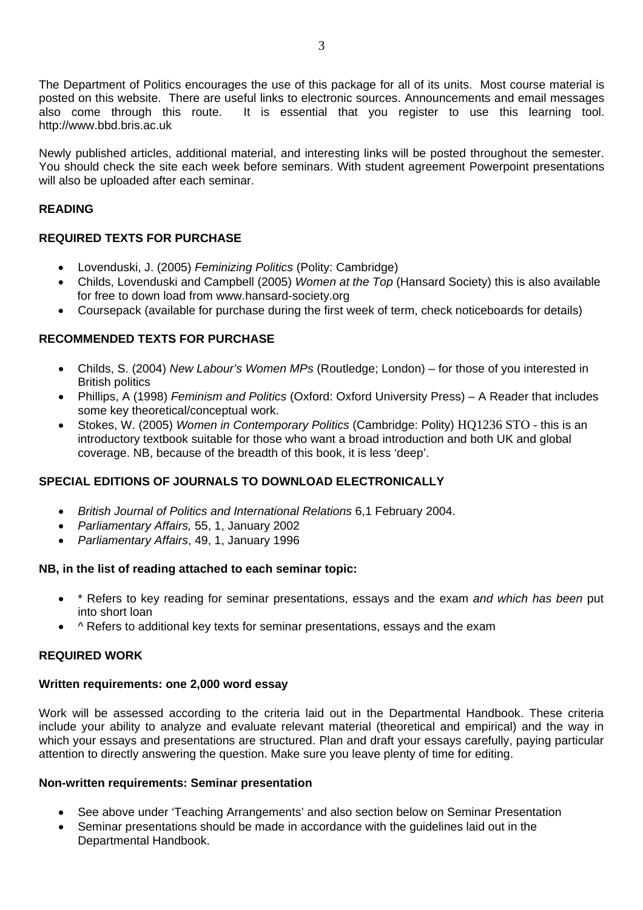The Department of Politics encourages the use of this package for all of its units. Most course material is posted on this website. There are useful links to electronic sources. Announcements and email messages also come through this route. It is essential that you register to use this learning tool. http://www.bbd.bris.ac.uk

Newly published articles, additional material, and interesting links will be posted throughout the semester. You should check the site each week before seminars. With student agreement Powerpoint presentations will also be uploaded after each seminar.

### **READING**

# **REQUIRED TEXTS FOR PURCHASE**

- Lovenduski, J. (2005) *Feminizing Politics* (Polity: Cambridge)
- Childs, Lovenduski and Campbell (2005) *Women at the Top* (Hansard Society) this is also available for free to down load from www.hansard-society.org
- Coursepack (available for purchase during the first week of term, check noticeboards for details)

### **RECOMMENDED TEXTS FOR PURCHASE**

- Childs, S. (2004) *New Labour's Women MPs* (Routledge; London) for those of you interested in British politics
- Phillips, A (1998) *Feminism and Politics* (Oxford: Oxford University Press) A Reader that includes some key theoretical/conceptual work.
- Stokes, W. (2005) *Women in Contemporary Politics* (Cambridge: Polity) HQ1236 STO this is an introductory textbook suitable for those who want a broad introduction and both UK and global coverage. NB, because of the breadth of this book, it is less 'deep'.

# **SPECIAL EDITIONS OF JOURNALS TO DOWNLOAD ELECTRONICALLY**

- *British Journal of Politics and International Relations* 6,1 February 2004.
- *Parliamentary Affairs,* 55, 1, January 2002
- *Parliamentary Affairs*, 49, 1, January 1996

### **NB, in the list of reading attached to each seminar topic:**

- \* Refers to key reading for seminar presentations, essays and the exam *and which has been* put into short loan
- ^ Refers to additional key texts for seminar presentations, essays and the exam

### **REQUIRED WORK**

### **Written requirements: one 2,000 word essay**

Work will be assessed according to the criteria laid out in the Departmental Handbook. These criteria include your ability to analyze and evaluate relevant material (theoretical and empirical) and the way in which your essays and presentations are structured. Plan and draft your essays carefully, paying particular attention to directly answering the question. Make sure you leave plenty of time for editing.

### **Non-written requirements: Seminar presentation**

- See above under 'Teaching Arrangements' and also section below on Seminar Presentation
- Seminar presentations should be made in accordance with the guidelines laid out in the Departmental Handbook.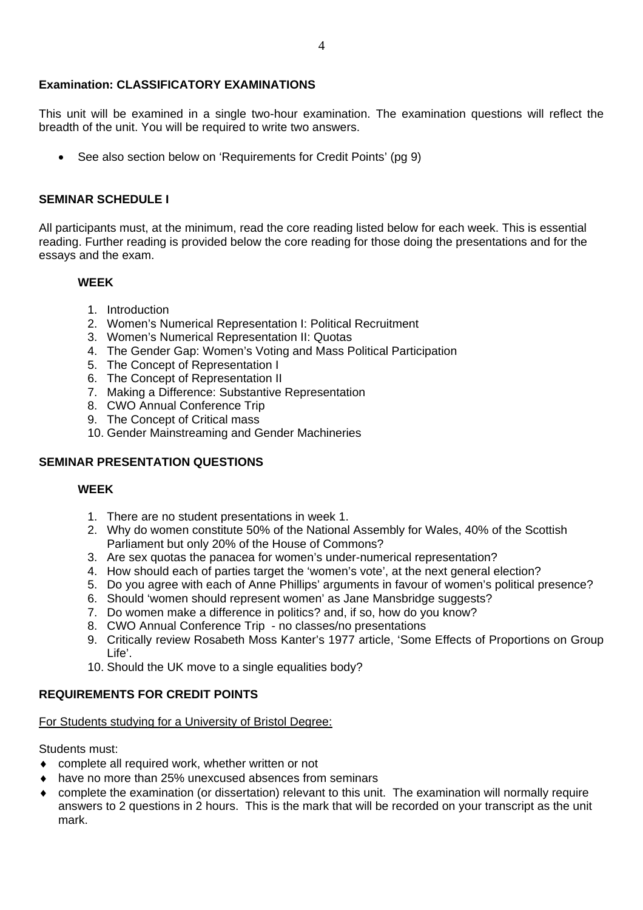#### **Examination: CLASSIFICATORY EXAMINATIONS**

This unit will be examined in a single two-hour examination. The examination questions will reflect the breadth of the unit. You will be required to write two answers.

• See also section below on 'Requirements for Credit Points' (pg 9)

#### **SEMINAR SCHEDULE I**

All participants must, at the minimum, read the core reading listed below for each week. This is essential reading. Further reading is provided below the core reading for those doing the presentations and for the essays and the exam.

#### **WEEK**

- 1. Introduction
- 2. Women's Numerical Representation I: Political Recruitment
- 3. Women's Numerical Representation II: Quotas
- 4. The Gender Gap: Women's Voting and Mass Political Participation
- 5. The Concept of Representation I
- 6. The Concept of Representation II
- 7. Making a Difference: Substantive Representation
- 8. CWO Annual Conference Trip
- 9. The Concept of Critical mass
- 10. Gender Mainstreaming and Gender Machineries

### **SEMINAR PRESENTATION QUESTIONS**

#### **WEEK**

- 1. There are no student presentations in week 1.
- 2. Why do women constitute 50% of the National Assembly for Wales, 40% of the Scottish Parliament but only 20% of the House of Commons?
- 3. Are sex quotas the panacea for women's under-numerical representation?
- 4. How should each of parties target the 'women's vote', at the next general election?
- 5. Do you agree with each of Anne Phillips' arguments in favour of women's political presence?
- 6. Should 'women should represent women' as Jane Mansbridge suggests?
- 7. Do women make a difference in politics? and, if so, how do you know?
- 8. CWO Annual Conference Trip no classes/no presentations
- 9. Critically review Rosabeth Moss Kanter's 1977 article, 'Some Effects of Proportions on Group Life'.
- 10. Should the UK move to a single equalities body?

### **REQUIREMENTS FOR CREDIT POINTS**

# For Students studying for a University of Bristol Degree:

Students must:

- ♦ complete all required work, whether written or not
- have no more than 25% unexcused absences from seminars
- ♦ complete the examination (or dissertation) relevant to this unit. The examination will normally require answers to 2 questions in 2 hours. This is the mark that will be recorded on your transcript as the unit mark.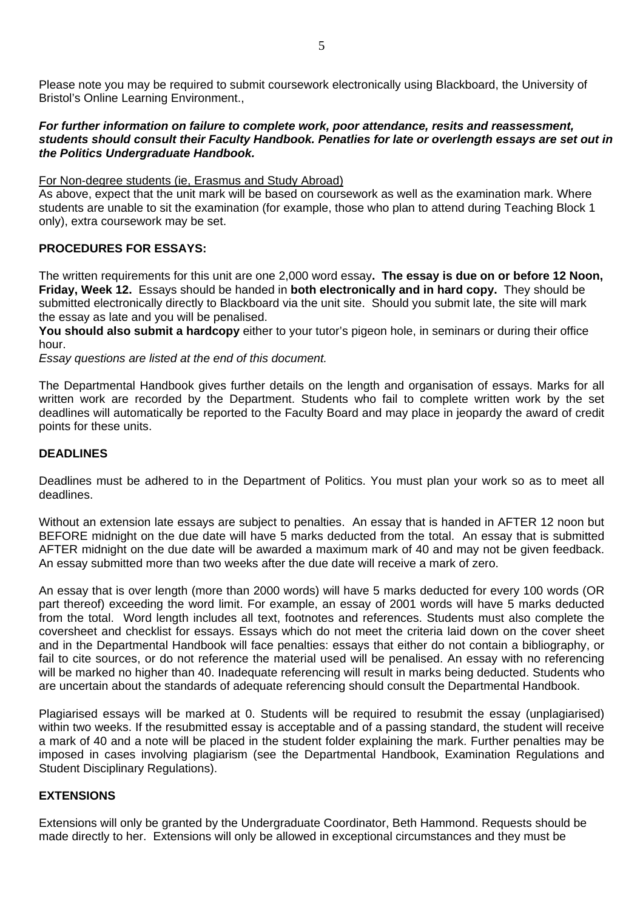Please note you may be required to submit coursework electronically using Blackboard, the University of Bristol's Online Learning Environment.,

#### *For further information on failure to complete work, poor attendance, resits and reassessment, students should consult their Faculty Handbook. Penatlies for late or overlength essays are set out in the Politics Undergraduate Handbook.*

#### For Non-degree students (ie, Erasmus and Study Abroad)

As above, expect that the unit mark will be based on coursework as well as the examination mark. Where students are unable to sit the examination (for example, those who plan to attend during Teaching Block 1 only), extra coursework may be set.

### **PROCEDURES FOR ESSAYS:**

The written requirements for this unit are one 2,000 word essay**. The essay is due on or before 12 Noon, Friday, Week 12.** Essays should be handed in **both electronically and in hard copy.** They should be submitted electronically directly to Blackboard via the unit site. Should you submit late, the site will mark the essay as late and you will be penalised.

**You should also submit a hardcopy** either to your tutor's pigeon hole, in seminars or during their office hour.

*Essay questions are listed at the end of this document.* 

The Departmental Handbook gives further details on the length and organisation of essays. Marks for all written work are recorded by the Department. Students who fail to complete written work by the set deadlines will automatically be reported to the Faculty Board and may place in jeopardy the award of credit points for these units.

#### **DEADLINES**

Deadlines must be adhered to in the Department of Politics. You must plan your work so as to meet all deadlines.

Without an extension late essays are subject to penalties. An essay that is handed in AFTER 12 noon but BEFORE midnight on the due date will have 5 marks deducted from the total. An essay that is submitted AFTER midnight on the due date will be awarded a maximum mark of 40 and may not be given feedback. An essay submitted more than two weeks after the due date will receive a mark of zero.

An essay that is over length (more than 2000 words) will have 5 marks deducted for every 100 words (OR part thereof) exceeding the word limit. For example, an essay of 2001 words will have 5 marks deducted from the total. Word length includes all text, footnotes and references. Students must also complete the coversheet and checklist for essays. Essays which do not meet the criteria laid down on the cover sheet and in the Departmental Handbook will face penalties: essays that either do not contain a bibliography, or fail to cite sources, or do not reference the material used will be penalised. An essay with no referencing will be marked no higher than 40. Inadequate referencing will result in marks being deducted. Students who are uncertain about the standards of adequate referencing should consult the Departmental Handbook.

Plagiarised essays will be marked at 0. Students will be required to resubmit the essay (unplagiarised) within two weeks. If the resubmitted essay is acceptable and of a passing standard, the student will receive a mark of 40 and a note will be placed in the student folder explaining the mark. Further penalties may be imposed in cases involving plagiarism (see the Departmental Handbook, Examination Regulations and Student Disciplinary Regulations).

### **EXTENSIONS**

Extensions will only be granted by the Undergraduate Coordinator, Beth Hammond. Requests should be made directly to her. Extensions will only be allowed in exceptional circumstances and they must be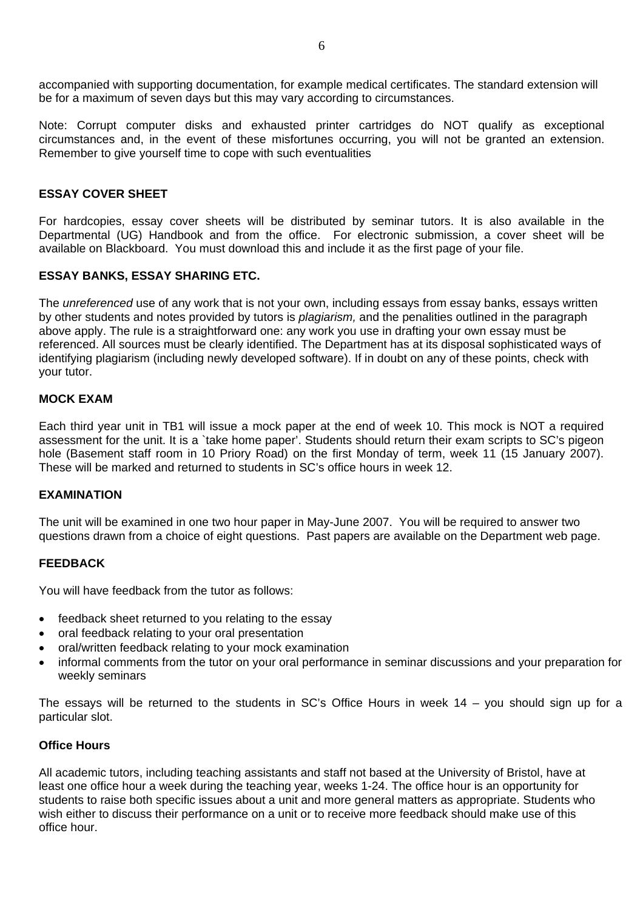accompanied with supporting documentation, for example medical certificates. The standard extension will be for a maximum of seven days but this may vary according to circumstances.

Note: Corrupt computer disks and exhausted printer cartridges do NOT qualify as exceptional circumstances and, in the event of these misfortunes occurring, you will not be granted an extension. Remember to give yourself time to cope with such eventualities

### **ESSAY COVER SHEET**

For hardcopies, essay cover sheets will be distributed by seminar tutors. It is also available in the Departmental (UG) Handbook and from the office. For electronic submission, a cover sheet will be available on Blackboard. You must download this and include it as the first page of your file.

#### **ESSAY BANKS, ESSAY SHARING ETC.**

The *unreferenced* use of any work that is not your own, including essays from essay banks, essays written by other students and notes provided by tutors is *plagiarism,* and the penalities outlined in the paragraph above apply. The rule is a straightforward one: any work you use in drafting your own essay must be referenced. All sources must be clearly identified. The Department has at its disposal sophisticated ways of identifying plagiarism (including newly developed software). If in doubt on any of these points, check with your tutor.

#### **MOCK EXAM**

Each third year unit in TB1 will issue a mock paper at the end of week 10. This mock is NOT a required assessment for the unit. It is a `take home paper'. Students should return their exam scripts to SC's pigeon hole (Basement staff room in 10 Priory Road) on the first Monday of term, week 11 (15 January 2007). These will be marked and returned to students in SC's office hours in week 12.

#### **EXAMINATION**

The unit will be examined in one two hour paper in May-June 2007. You will be required to answer two questions drawn from a choice of eight questions. Past papers are available on the Department web page.

### **FEEDBACK**

You will have feedback from the tutor as follows:

- feedback sheet returned to you relating to the essay
- oral feedback relating to your oral presentation
- oral/written feedback relating to your mock examination
- informal comments from the tutor on your oral performance in seminar discussions and your preparation for weekly seminars

The essays will be returned to the students in SC's Office Hours in week 14 – you should sign up for a particular slot.

#### **Office Hours**

All academic tutors, including teaching assistants and staff not based at the University of Bristol, have at least one office hour a week during the teaching year, weeks 1-24. The office hour is an opportunity for students to raise both specific issues about a unit and more general matters as appropriate. Students who wish either to discuss their performance on a unit or to receive more feedback should make use of this office hour.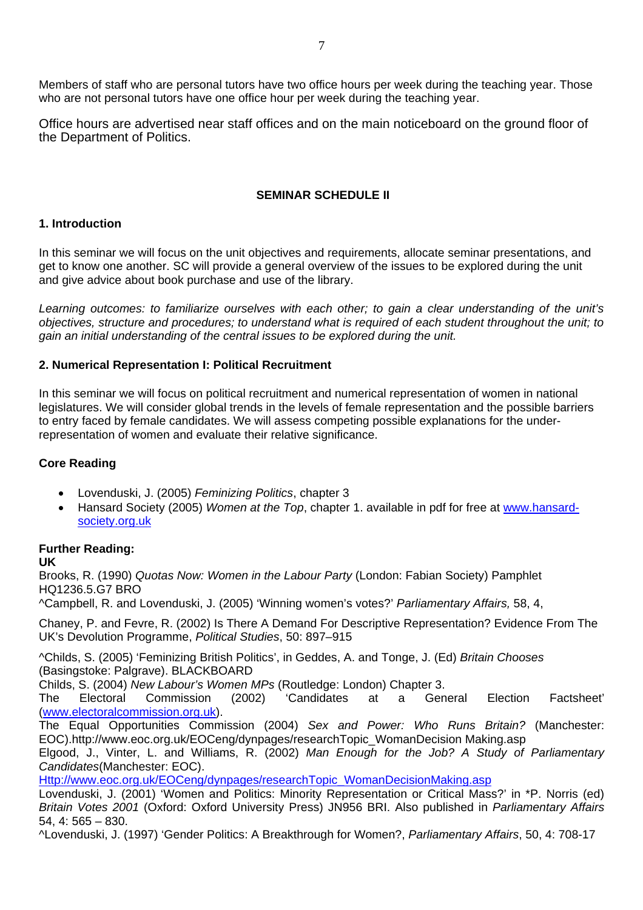Members of staff who are personal tutors have two office hours per week during the teaching year. Those who are not personal tutors have one office hour per week during the teaching year.

Office hours are advertised near staff offices and on the main noticeboard on the ground floor of the Department of Politics.

### **SEMINAR SCHEDULE II**

### **1. Introduction**

In this seminar we will focus on the unit objectives and requirements, allocate seminar presentations, and get to know one another. SC will provide a general overview of the issues to be explored during the unit and give advice about book purchase and use of the library.

*Learning outcomes: to familiarize ourselves with each other; to gain a clear understanding of the unit's objectives, structure and procedures; to understand what is required of each student throughout the unit; to gain an initial understanding of the central issues to be explored during the unit.* 

### **2. Numerical Representation I: Political Recruitment**

In this seminar we will focus on political recruitment and numerical representation of women in national legislatures. We will consider global trends in the levels of female representation and the possible barriers to entry faced by female candidates. We will assess competing possible explanations for the underrepresentation of women and evaluate their relative significance.

# **Core Reading**

- Lovenduski, J. (2005) *Feminizing Politics*, chapter 3
- Hansard Society (2005) *Women at the Top*, chapter 1. available in pdf for free at [www.hansard](http://www.hansard-society.org.uk/)[society.org.uk](http://www.hansard-society.org.uk/)

# **Further Reading:**

**UK** 

Brooks, R. (1990) *Quotas Now: Women in the Labour Party* (London: Fabian Society) Pamphlet HQ1236.5.G7 BRO

^Campbell, R. and Lovenduski, J. (2005) 'Winning women's votes?' *Parliamentary Affairs,* 58, 4,

Chaney, P. and Fevre, R. (2002) Is There A Demand For Descriptive Representation? Evidence From The UK's Devolution Programme, *Political Studies*, 50: 897–915

^Childs, S. (2005) 'Feminizing British Politics', in Geddes, A. and Tonge, J. (Ed) *Britain Chooses* (Basingstoke: Palgrave). BLACKBOARD

Childs, S. (2004) *New Labour's Women MPs* (Routledge: London) Chapter 3.

The Electoral Commission (2002) 'Candidates at a General Election Factsheet' ([www.electoralcommission.org.uk\)](http://www.electoralcommission.org.uk/).

The Equal Opportunities Commission (2004) *Sex and Power: Who Runs Britain?* (Manchester: EOC).http://www.eoc.org.uk/EOCeng/dynpages/researchTopic\_WomanDecision Making.asp

Elgood, J., Vinter, L. and Williams, R. (2002) *Man Enough for the Job? A Study of Parliamentary Candidates*(Manchester: EOC).

[Http://www.eoc.org.uk/EOCeng/dynpages/researchTopic\\_WomanDecisionMaking.asp](http://www.eoc.org.uk/EOCeng/dynpages/researchTopic_WomanDecisionMaking.asp)

Lovenduski, J. (2001) 'Women and Politics: Minority Representation or Critical Mass?' in \*P. Norris (ed) *Britain Votes 2001* (Oxford: Oxford University Press) JN956 BRI. Also published in *Parliamentary Affairs* 54, 4: 565 – 830.

^Lovenduski, J. (1997) 'Gender Politics: A Breakthrough for Women?, *Parliamentary Affairs*, 50, 4: 708-17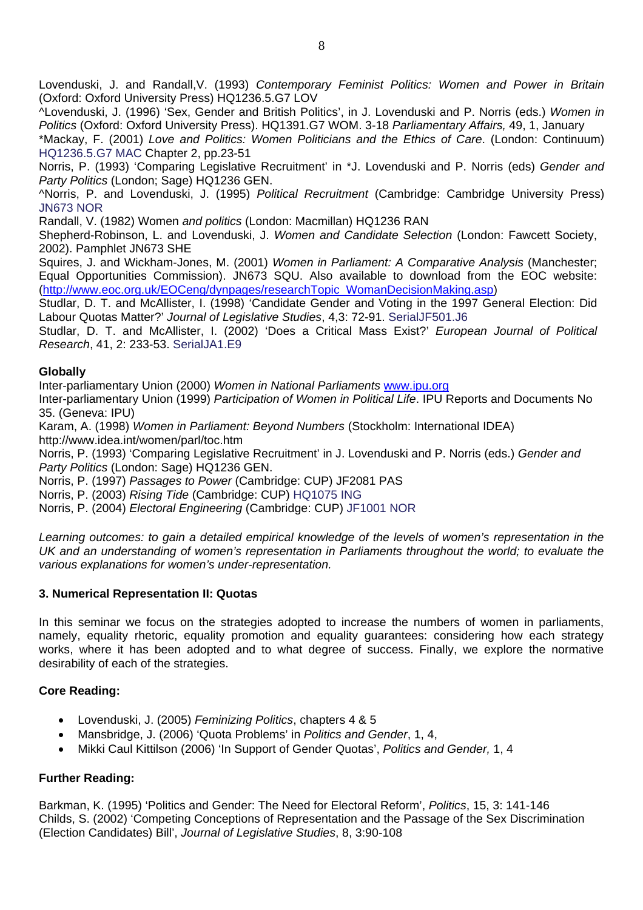Lovenduski, J. and Randall,V. (1993) *Contemporary Feminist Politics: Women and Power in Britain*  (Oxford: Oxford University Press) HQ1236.5.G7 LOV

^Lovenduski, J. (1996) 'Sex, Gender and British Politics', in J. Lovenduski and P. Norris (eds.) *Women in Politics* (Oxford: Oxford University Press). HQ1391.G7 WOM. 3-18 *Parliamentary Affairs,* 49, 1, January

\*Mackay, F. (2001) *Love and Politics: Women Politicians and the Ethics of Care*. (London: Continuum) HQ1236.5.G7 MAC Chapter 2, pp.23-51

Norris, P. (1993) 'Comparing Legislative Recruitment' in \*J. Lovenduski and P. Norris (eds) *Gender and Party Politics* (London; Sage) HQ1236 GEN.

^Norris, P. and Lovenduski, J. (1995) *Political Recruitment* (Cambridge: Cambridge University Press) JN673 NOR

Randall, V. (1982) Women *and politics* (London: Macmillan) HQ1236 RAN

Shepherd-Robinson, L. and Lovenduski, J. *Women and Candidate Selection* (London: Fawcett Society, 2002). Pamphlet JN673 SHE

Squires, J. and Wickham-Jones, M. (2001) *Women in Parliament: A Comparative Analysis* (Manchester; Equal Opportunities Commission). JN673 SQU. Also available to download from the EOC website: ([http://www.eoc.org.uk/EOCeng/dynpages/researchTopic\\_WomanDecisionMaking.asp\)](http://www.eoc.org.uk/EOCeng/dynpages/researchTopic_WomanDecisionMaking.asp)

Studlar, D. T. and McAllister, I. (1998) 'Candidate Gender and Voting in the 1997 General Election: Did Labour Quotas Matter?' *Journal of Legislative Studies*, 4,3: 72-91. SerialJF501.J6

Studlar, D. T. and McAllister, I. (2002) 'Does a Critical Mass Exist?' *European Journal of Political Research*, 41, 2: 233-53. SerialJA1.E9

### **Globally**

Inter-parliamentary Union (2000) *Women in National Parliaments* [www.ipu.org](http://www.ipu.org/)

Inter-parliamentary Union (1999) *Participation of Women in Political Life*. IPU Reports and Documents No 35. (Geneva: IPU)

Karam, A. (1998) *Women in Parliament: Beyond Numbers* (Stockholm: International IDEA) http://www.idea.int/women/parl/toc.htm

Norris, P. (1993) 'Comparing Legislative Recruitment' in J. Lovenduski and P. Norris (eds.) *Gender and Party Politics* (London: Sage) HQ1236 GEN.

Norris, P. (1997) *Passages to Power* (Cambridge: CUP) JF2081 PAS

Norris, P. (2003) *Rising Tide* (Cambridge: CUP) HQ1075 ING

Norris, P. (2004) *Electoral Engineering* (Cambridge: CUP) JF1001 NOR

*Learning outcomes: to gain a detailed empirical knowledge of the levels of women's representation in the UK and an understanding of women's representation in Parliaments throughout the world; to evaluate the various explanations for women's under-representation.* 

### **3. Numerical Representation II: Quotas**

In this seminar we focus on the strategies adopted to increase the numbers of women in parliaments, namely, equality rhetoric, equality promotion and equality guarantees: considering how each strategy works, where it has been adopted and to what degree of success. Finally, we explore the normative desirability of each of the strategies.

### **Core Reading:**

- Lovenduski, J. (2005) *Feminizing Politics*, chapters 4 & 5
- Mansbridge, J. (2006) 'Quota Problems' in *Politics and Gender*, 1, 4,
- Mikki Caul Kittilson (2006) 'In Support of Gender Quotas', *Politics and Gender,* 1, 4

### **Further Reading:**

Barkman, K. (1995) 'Politics and Gender: The Need for Electoral Reform', *Politics*, 15, 3: 141-146 Childs, S. (2002) 'Competing Conceptions of Representation and the Passage of the Sex Discrimination (Election Candidates) Bill', *Journal of Legislative Studies*, 8, 3:90-108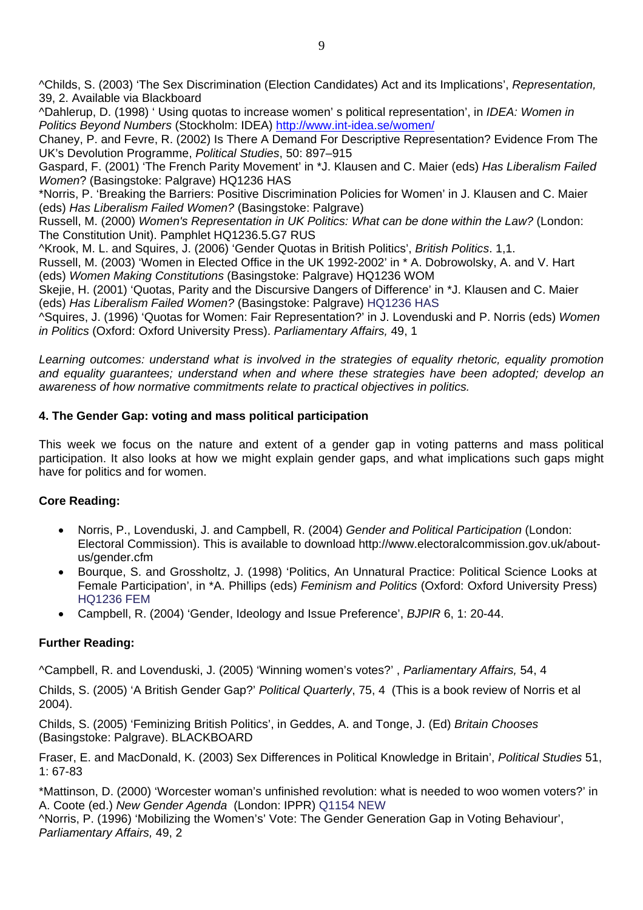^Childs, S. (2003) 'The Sex Discrimination (Election Candidates) Act and its Implications', *Representation,*  39, 2. Available via Blackboard

^Dahlerup, D. (1998) ' Using quotas to increase women' s political representation', in *IDEA: Women in Politics Beyond Numbers* (Stockholm: IDEA)<http://www.int-idea.se/women/>

Chaney, P. and Fevre, R. (2002) Is There A Demand For Descriptive Representation? Evidence From The UK's Devolution Programme, *Political Studies*, 50: 897–915

Gaspard, F. (2001) 'The French Parity Movement' in \*J. Klausen and C. Maier (eds) *Has Liberalism Failed Women*? (Basingstoke: Palgrave) HQ1236 HAS

\*Norris, P. 'Breaking the Barriers: Positive Discrimination Policies for Women' in J. Klausen and C. Maier (eds) *Has Liberalism Failed Women?* (Basingstoke: Palgrave)

Russell, M. (2000) *Women's Representation in UK Politics: What can be done within the Law?* (London: The Constitution Unit). Pamphlet HQ1236.5.G7 RUS

^Krook, M. L. and Squires, J. (2006) 'Gender Quotas in British Politics', *British Politics*. 1,1.

Russell, M. (2003) 'Women in Elected Office in the UK 1992-2002' in \* A. Dobrowolsky, A. and V. Hart (eds) *Women Making Constitutions* (Basingstoke: Palgrave) HQ1236 WOM

Skejie, H. (2001) 'Quotas, Parity and the Discursive Dangers of Difference' in \*J. Klausen and C. Maier (eds) *Has Liberalism Failed Women?* (Basingstoke: Palgrave) HQ1236 HAS

^Squires, J. (1996) 'Quotas for Women: Fair Representation?' in J. Lovenduski and P. Norris (eds) *Women in Politics* (Oxford: Oxford University Press). *Parliamentary Affairs,* 49, 1

*Learning outcomes: understand what is involved in the strategies of equality rhetoric, equality promotion and equality guarantees; understand when and where these strategies have been adopted; develop an awareness of how normative commitments relate to practical objectives in politics.* 

# **4. The Gender Gap: voting and mass political participation**

This week we focus on the nature and extent of a gender gap in voting patterns and mass political participation. It also looks at how we might explain gender gaps, and what implications such gaps might have for politics and for women.

# **Core Reading:**

- Norris, P., Lovenduski, J. and Campbell, R. (2004) *Gender and Political Participation* (London: Electoral Commission). This is available to download http://www.electoralcommission.gov.uk/aboutus/gender.cfm
- Bourque, S. and Grossholtz, J. (1998) 'Politics, An Unnatural Practice: Political Science Looks at Female Participation', in \*A. Phillips (eds) *Feminism and Politics* (Oxford: Oxford University Press) HQ1236 FEM
- Campbell, R. (2004) 'Gender, Ideology and Issue Preference', *BJPIR* 6, 1: 20-44.

# **Further Reading:**

^Campbell, R. and Lovenduski, J. (2005) 'Winning women's votes?' , *Parliamentary Affairs,* 54, 4

Childs, S. (2005) 'A British Gender Gap?' *Political Quarterly*, 75, 4 (This is a book review of Norris et al 2004).

Childs, S. (2005) 'Feminizing British Politics', in Geddes, A. and Tonge, J. (Ed) *Britain Chooses* (Basingstoke: Palgrave). BLACKBOARD

Fraser, E. and MacDonald, K. (2003) Sex Differences in Political Knowledge in Britain', *Political Studies* 51, 1: 67-83

\*Mattinson, D. (2000) 'Worcester woman's unfinished revolution: what is needed to woo women voters?' in A. Coote (ed.) *New Gender Agenda* (London: IPPR) Q1154 NEW

^Norris, P. (1996) 'Mobilizing the Women's' Vote: The Gender Generation Gap in Voting Behaviour', *Parliamentary Affairs,* 49, 2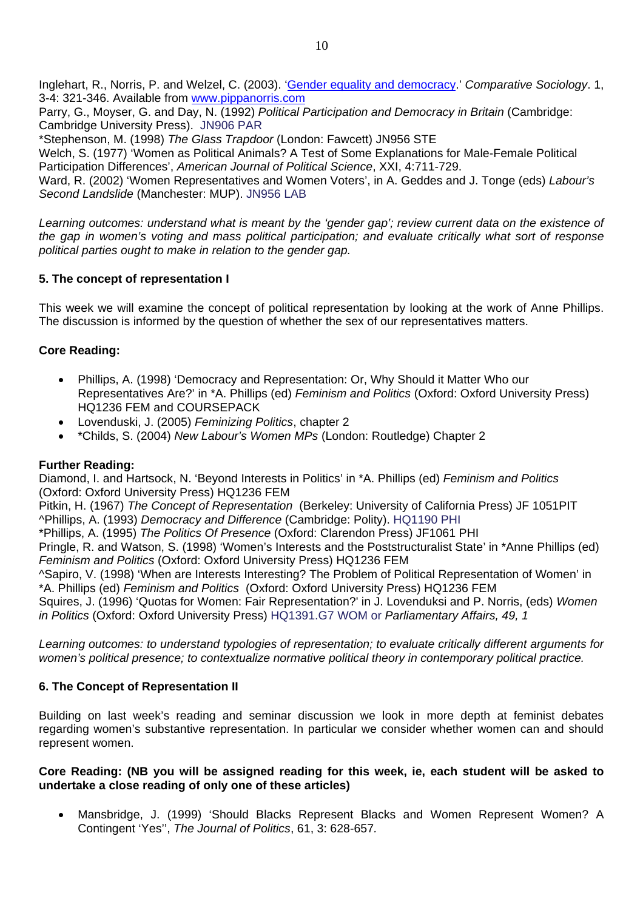Inglehart, R., Norris, P. and Welzel, C. (2003). '[Gender equality and democracy.](http://ksghome.harvard.edu/%7E.pnorris.shorenstein.ksg/Acrobat/Gender%20equality%20&%20democracy.pdf)' *Comparative Sociology*. 1, 3-4: 321-346. Available from [www.pippanorris.com](http://www.pippanorris.com/)

Parry, G., Moyser, G. and Day, N. (1992) *Political Participation and Democracy in Britain* (Cambridge: Cambridge University Press). JN906 PAR

\*Stephenson, M. (1998) *The Glass Trapdoor* (London: Fawcett) JN956 STE

Welch, S. (1977) 'Women as Political Animals? A Test of Some Explanations for Male-Female Political Participation Differences', *American Journal of Political Science*, XXI, 4:711-729.

Ward, R. (2002) 'Women Representatives and Women Voters', in A. Geddes and J. Tonge (eds) *Labour's Second Landslide* (Manchester: MUP). JN956 LAB

*Learning outcomes: understand what is meant by the 'gender gap'; review current data on the existence of the gap in women's voting and mass political participation; and evaluate critically what sort of response political parties ought to make in relation to the gender gap.*

### **5. The concept of representation I**

This week we will examine the concept of political representation by looking at the work of Anne Phillips. The discussion is informed by the question of whether the sex of our representatives matters.

### **Core Reading:**

- Phillips, A. (1998) 'Democracy and Representation: Or, Why Should it Matter Who our Representatives Are?' in \*A. Phillips (ed) *Feminism and Politics* (Oxford: Oxford University Press) HQ1236 FEM and COURSEPACK
- Lovenduski, J. (2005) *Feminizing Politics*, chapter 2
- \*Childs, S. (2004) *New Labour's Women MPs* (London: Routledge) Chapter 2

### **Further Reading:**

Diamond, I. and Hartsock, N. 'Beyond Interests in Politics' in \*A. Phillips (ed) *Feminism and Politics* (Oxford: Oxford University Press) HQ1236 FEM

Pitkin, H. (1967) *The Concept of Representation* (Berkeley: University of California Press) JF 1051PIT ^Phillips, A. (1993) *Democracy and Difference* (Cambridge: Polity). HQ1190 PHI

\*Phillips, A. (1995) *The Politics Of Presence* (Oxford: Clarendon Press) JF1061 PHI

Pringle, R. and Watson, S. (1998) 'Women's Interests and the Poststructuralist State' in \*Anne Phillips (ed) *Feminism and Politics* (Oxford: Oxford University Press) HQ1236 FEM

^Sapiro, V. (1998) 'When are Interests Interesting? The Problem of Political Representation of Women' in \*A. Phillips (ed) *Feminism and Politics* (Oxford: Oxford University Press) HQ1236 FEM

Squires, J. (1996) 'Quotas for Women: Fair Representation?' in J. Lovenduksi and P. Norris, (eds) *Women in Politics* (Oxford: Oxford University Press) HQ1391.G7 WOM or *Parliamentary Affairs, 49, 1*

*Learning outcomes: to understand typologies of representation; to evaluate critically different arguments for women's political presence; to contextualize normative political theory in contemporary political practice.* 

### **6. The Concept of Representation II**

Building on last week's reading and seminar discussion we look in more depth at feminist debates regarding women's substantive representation. In particular we consider whether women can and should represent women.

#### **Core Reading: (NB you will be assigned reading for this week, ie, each student will be asked to undertake a close reading of only one of these articles)**

• Mansbridge, J. (1999) 'Should Blacks Represent Blacks and Women Represent Women? A Contingent 'Yes'', *The Journal of Politics*, 61, 3: 628-657*.*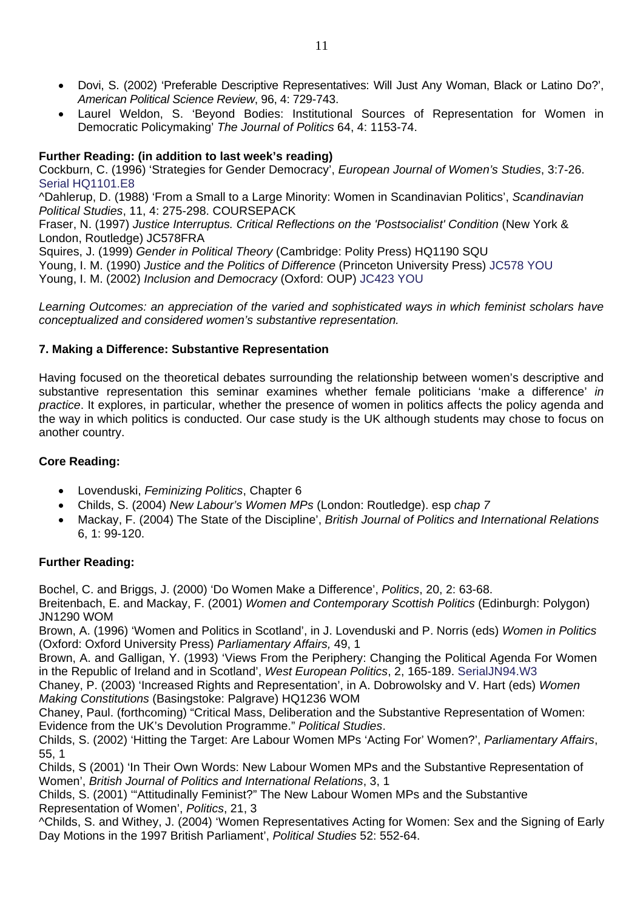- Dovi, S. (2002) 'Preferable Descriptive Representatives: Will Just Any Woman, Black or Latino Do?', *American Political Science Review*, 96, 4: 729-743.
- Laurel Weldon, S. 'Beyond Bodies: Institutional Sources of Representation for Women in Democratic Policymaking' *The Journal of Politics* 64, 4: 1153-74.

# **Further Reading: (in addition to last week's reading)**

Cockburn, C. (1996) 'Strategies for Gender Democracy', *European Journal of Women's Studies*, 3:7-26. Serial HQ1101.E8

^Dahlerup, D. (1988) 'From a Small to a Large Minority: Women in Scandinavian Politics', *Scandinavian Political Studies*, 11, 4: 275-298. COURSEPACK

Fraser, N. (1997) *Justice Interruptus. Critical Reflections on the 'Postsocialist' Condition* (New York & London, Routledge) JC578FRA

Squires, J. (1999) *Gender in Political Theory* (Cambridge: Polity Press) HQ1190 SQU

Young, I. M. (1990) *Justice and the Politics of Difference* (Princeton University Press) JC578 YOU Young, I. M. (2002) *Inclusion and Democracy* (Oxford: OUP) JC423 YOU

*Learning Outcomes: an appreciation of the varied and sophisticated ways in which feminist scholars have conceptualized and considered women's substantive representation.* 

# **7. Making a Difference: Substantive Representation**

Having focused on the theoretical debates surrounding the relationship between women's descriptive and substantive representation this seminar examines whether female politicians 'make a difference' *in practice*. It explores, in particular, whether the presence of women in politics affects the policy agenda and the way in which politics is conducted. Our case study is the UK although students may chose to focus on another country.

# **Core Reading:**

- Lovenduski, *Feminizing Politics*, Chapter 6
- Childs, S. (2004) *New Labour's Women MPs* (London: Routledge). esp *chap 7*
- Mackay, F. (2004) The State of the Discipline', *British Journal of Politics and International Relations*  6, 1: 99-120.

# **Further Reading:**

Bochel, C. and Briggs, J. (2000) 'Do Women Make a Difference', *Politics*, 20, 2: 63-68.

Breitenbach, E. and Mackay, F. (2001) *Women and Contemporary Scottish Politics* (Edinburgh: Polygon) JN1290 WOM

Brown, A. (1996) 'Women and Politics in Scotland', in J. Lovenduski and P. Norris (eds) *Women in Politics*  (Oxford: Oxford University Press) *Parliamentary Affairs,* 49, 1

Brown, A. and Galligan, Y. (1993) 'Views From the Periphery: Changing the Political Agenda For Women in the Republic of Ireland and in Scotland', *West European Politics*, 2, 165-189. SerialJN94.W3

Chaney, P. (2003) 'Increased Rights and Representation', in A. Dobrowolsky and V. Hart (eds) *Women Making Constitutions* (Basingstoke: Palgrave) HQ1236 WOM

Chaney, Paul. (forthcoming) "Critical Mass, Deliberation and the Substantive Representation of Women: Evidence from the UK's Devolution Programme." *Political Studies*.

Childs, S. (2002) 'Hitting the Target: Are Labour Women MPs 'Acting For' Women?', *Parliamentary Affairs*, 55, 1

Childs, S (2001) 'In Their Own Words: New Labour Women MPs and the Substantive Representation of Women', *British Journal of Politics and International Relations*, 3, 1

Childs, S. (2001) '"Attitudinally Feminist?" The New Labour Women MPs and the Substantive Representation of Women', *Politics*, 21, 3

^Childs, S. and Withey, J. (2004) 'Women Representatives Acting for Women: Sex and the Signing of Early Day Motions in the 1997 British Parliament', *Political Studies* 52: 552-64.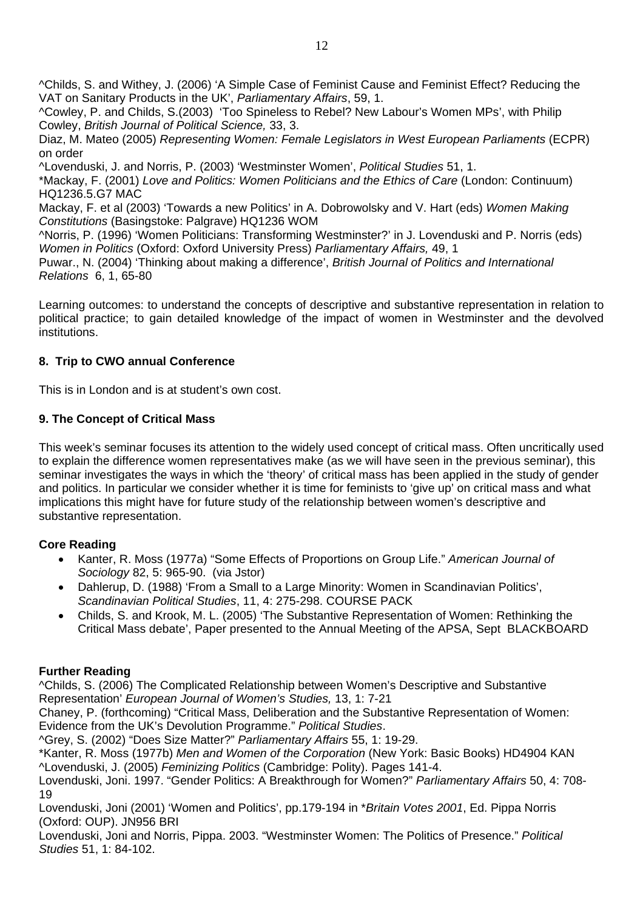^Childs, S. and Withey, J. (2006) 'A Simple Case of Feminist Cause and Feminist Effect? Reducing the VAT on Sanitary Products in the UK', *Parliamentary Affairs*, 59, 1.

^Cowley, P. and Childs, S.(2003) 'Too Spineless to Rebel? New Labour's Women MPs', with Philip Cowley, *British Journal of Political Science,* 33, 3.

Diaz, M. Mateo (2005) *Representing Women: Female Legislators in West European Parliaments* (ECPR) on order

^Lovenduski, J. and Norris, P. (2003) 'Westminster Women', *Political Studies* 51, 1.

\*Mackay, F. (2001) *Love and Politics: Women Politicians and the Ethics of Care* (London: Continuum) HQ1236.5.G7 MAC

Mackay, F. et al (2003) 'Towards a new Politics' in A. Dobrowolsky and V. Hart (eds) *Women Making Constitutions* (Basingstoke: Palgrave) HQ1236 WOM

^Norris, P. (1996) 'Women Politicians: Transforming Westminster?' in J. Lovenduski and P. Norris (eds) *Women in Politics* (Oxford: Oxford University Press) *Parliamentary Affairs,* 49, 1

Puwar., N. (2004) 'Thinking about making a difference', *British Journal of Politics and International Relations* 6, 1, 65-80

Learning outcomes: to understand the concepts of descriptive and substantive representation in relation to political practice; to gain detailed knowledge of the impact of women in Westminster and the devolved institutions.

### **8. Trip to CWO annual Conference**

This is in London and is at student's own cost.

### **9. The Concept of Critical Mass**

This week's seminar focuses its attention to the widely used concept of critical mass. Often uncritically used to explain the difference women representatives make (as we will have seen in the previous seminar), this seminar investigates the ways in which the 'theory' of critical mass has been applied in the study of gender and politics. In particular we consider whether it is time for feminists to 'give up' on critical mass and what implications this might have for future study of the relationship between women's descriptive and substantive representation.

### **Core Reading**

- Kanter, R. Moss (1977a) "Some Effects of Proportions on Group Life." *American Journal of Sociology* 82, 5: 965-90. (via Jstor)
- Dahlerup, D. (1988) 'From a Small to a Large Minority: Women in Scandinavian Politics', *Scandinavian Political Studies*, 11, 4: 275-298. COURSE PACK
- Childs, S. and Krook, M. L. (2005) 'The Substantive Representation of Women: Rethinking the Critical Mass debate', Paper presented to the Annual Meeting of the APSA, Sept BLACKBOARD

### **Further Reading**

^Childs, S. (2006) The Complicated Relationship between Women's Descriptive and Substantive Representation' *European Journal of Women's Studies,* 13, 1: 7-21

Chaney, P. (forthcoming) "Critical Mass, Deliberation and the Substantive Representation of Women: Evidence from the UK's Devolution Programme." *Political Studies*.

^Grey, S. (2002) "Does Size Matter?" *Parliamentary Affairs* 55, 1: 19-29.

\*Kanter, R. Moss (1977b) *Men and Women of the Corporation* (New York: Basic Books) HD4904 KAN ^Lovenduski, J. (2005) *Feminizing Politics* (Cambridge: Polity). Pages 141-4.

Lovenduski, Joni. 1997. "Gender Politics: A Breakthrough for Women?" *Parliamentary Affairs* 50, 4: 708- 19

Lovenduski, Joni (2001) 'Women and Politics', pp.179-194 in \**Britain Votes 2001*, Ed. Pippa Norris (Oxford: OUP). JN956 BRI

Lovenduski, Joni and Norris, Pippa. 2003. "Westminster Women: The Politics of Presence." *Political Studies* 51, 1: 84-102.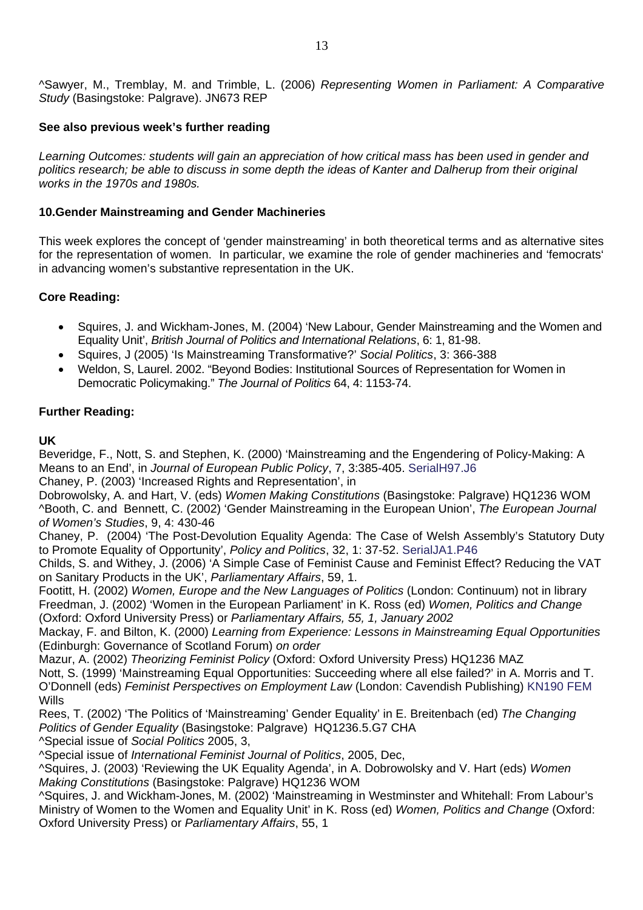^Sawyer, M., Tremblay, M. and Trimble, L. (2006) *Representing Women in Parliament: A Comparative Study* (Basingstoke: Palgrave). JN673 REP

### **See also previous week's further reading**

*Learning Outcomes: students will gain an appreciation of how critical mass has been used in gender and politics research; be able to discuss in some depth the ideas of Kanter and Dalherup from their original works in the 1970s and 1980s.* 

### **10.Gender Mainstreaming and Gender Machineries**

This week explores the concept of 'gender mainstreaming' in both theoretical terms and as alternative sites for the representation of women. In particular, we examine the role of gender machineries and 'femocrats' in advancing women's substantive representation in the UK.

### **Core Reading:**

- Squires, J. and Wickham-Jones, M. (2004) 'New Labour, Gender Mainstreaming and the Women and Equality Unit', *British Journal of Politics and International Relations*, 6: 1, 81-98.
- Squires, J (2005) 'Is Mainstreaming Transformative?' *Social Politics*, 3: 366-388
- Weldon, S, Laurel. 2002. "Beyond Bodies: Institutional Sources of Representation for Women in Democratic Policymaking." *The Journal of Politics* 64, 4: 1153-74.

### **Further Reading:**

### **UK**

Beveridge, F., Nott, S. and Stephen, K. (2000) 'Mainstreaming and the Engendering of Policy-Making: A Means to an End', in *Journal of European Public Policy*, 7, 3:385-405. SerialH97.J6

Chaney, P. (2003) 'Increased Rights and Representation', in

Dobrowolsky, A. and Hart, V. (eds) *Women Making Constitutions* (Basingstoke: Palgrave) HQ1236 WOM ^Booth, C. and Bennett, C. (2002) 'Gender Mainstreaming in the European Union', *The European Journal of Women's Studies*, 9, 4: 430-46

Chaney, P. (2004) 'The Post-Devolution Equality Agenda: The Case of Welsh Assembly's Statutory Duty to Promote Equality of Opportunity', *Policy and Politics*, 32, 1: 37-52. SerialJA1.P46

Childs, S. and Withey, J. (2006) 'A Simple Case of Feminist Cause and Feminist Effect? Reducing the VAT on Sanitary Products in the UK', *Parliamentary Affairs*, 59, 1.

Footitt, H. (2002) *Women, Europe and the New Languages of Politics* (London: Continuum) not in library Freedman, J. (2002) 'Women in the European Parliament' in K. Ross (ed) *Women, Politics and Change* (Oxford: Oxford University Press) or *Parliamentary Affairs, 55, 1, January 2002*

Mackay, F. and Bilton, K. (2000) *Learning from Experience: Lessons in Mainstreaming Equal Opportunities*  (Edinburgh: Governance of Scotland Forum) *on order*

Mazur, A. (2002) *Theorizing Feminist Policy* (Oxford: Oxford University Press) HQ1236 MAZ

Nott, S. (1999) 'Mainstreaming Equal Opportunities: Succeeding where all else failed?' in A. Morris and T. O'Donnell (eds) *Feminist Perspectives on Employment Law* (London: Cavendish Publishing) KN190 FEM Wills

Rees, T. (2002) 'The Politics of 'Mainstreaming' Gender Equality' in E. Breitenbach (ed) *The Changing Politics of Gender Equality* (Basingstoke: Palgrave) HQ1236.5.G7 CHA

^Special issue of *Social Politics* 2005, 3,

^Special issue of *International Feminist Journal of Politics*, 2005, Dec,

^Squires, J. (2003) 'Reviewing the UK Equality Agenda', in A. Dobrowolsky and V. Hart (eds) *Women Making Constitutions* (Basingstoke: Palgrave) HQ1236 WOM

^Squires, J. and Wickham-Jones, M. (2002) 'Mainstreaming in Westminster and Whitehall: From Labour's Ministry of Women to the Women and Equality Unit' in K. Ross (ed) *Women, Politics and Change* (Oxford: Oxford University Press) or *Parliamentary Affairs*, 55, 1